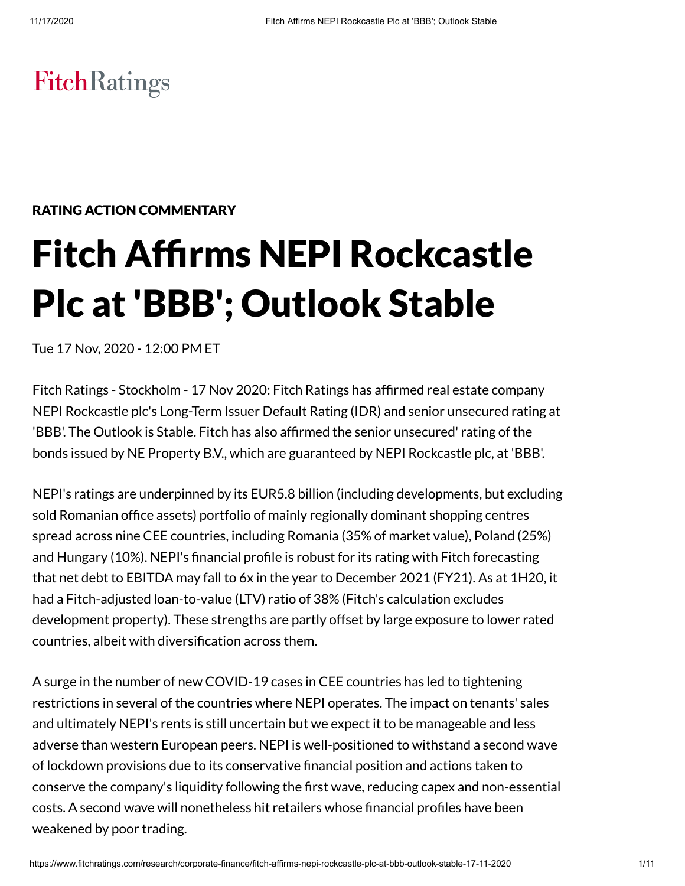## **FitchRatings**

#### RATING ACTION COMMENTARY

# **Fitch Affirms NEPI Rockcastle** Plc at 'BBB'; Outlook Stable

Tue 17 Nov, 2020 - 12:00 PM ET

Fitch Ratings - Stockholm - 17 Nov 2020: Fitch Ratings has affirmed real estate company NEPI Rockcastle plc's Long-Term Issuer Default Rating (IDR) and senior unsecured rating at 'BBB'. The Outlook is Stable. Fitch has also afrmed the senior unsecured' rating of the bonds issued by NE Property B.V., which are guaranteed by NEPI Rockcastle plc, at 'BBB'.

NEPI's ratings are underpinned by its EUR5.8 billion (including developments, but excluding sold Romanian office assets) portfolio of mainly regionally dominant shopping centres spread across nine CEE countries, including Romania (35% of market value), Poland (25%) and Hungary (10%). NEPI's financial profile is robust for its rating with Fitch forecasting that net debt to EBITDA may fall to 6x in the year to December 2021 (FY21). As at 1H20, it had a Fitch-adjusted loan-to-value (LTV) ratio of 38% (Fitch's calculation excludes development property). These strengths are partly offset by large exposure to lower rated countries, albeit with diversification across them.

A surge in the number of new COVID-19 cases in CEE countries has led to tightening restrictions in several of the countries where NEPI operates. The impact on tenants' sales and ultimately NEPI's rents is still uncertain but we expect it to be manageable and less adverse than western European peers. NEPI is well-positioned to withstand a second wave of lockdown provisions due to its conservative financial position and actions taken to conserve the company's liquidity following the first wave, reducing capex and non-essential costs. A second wave will nonetheless hit retailers whose financial profiles have been weakened by poor trading.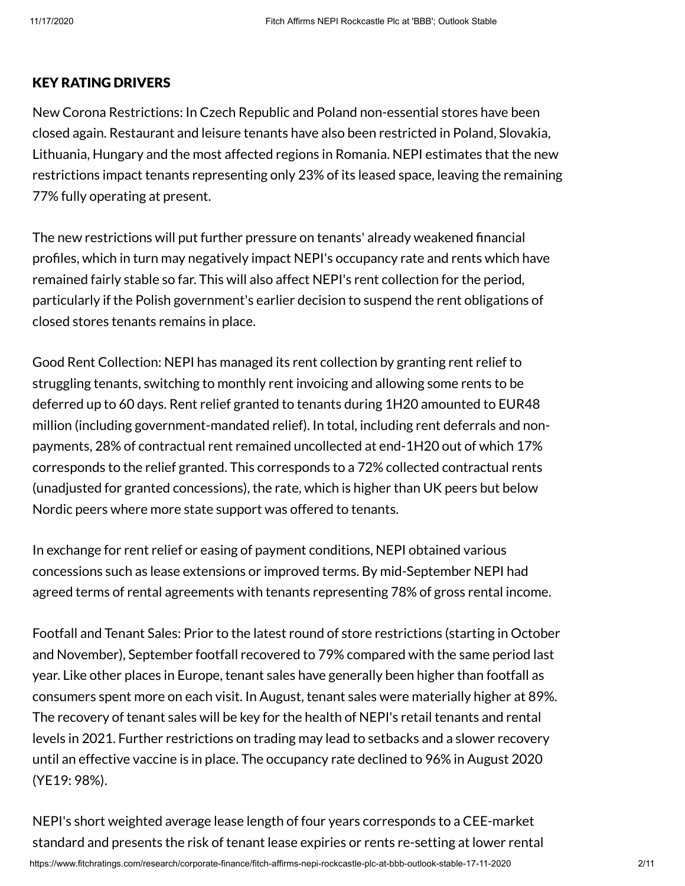#### KEY RATING DRIVERS

New Corona Restrictions: In Czech Republic and Poland non-essential stores have been closed again. Restaurant and leisure tenants have also been restricted in Poland, Slovakia, Lithuania, Hungary and the most affected regions in Romania. NEPI estimates that the new restrictions impact tenants representing only 23% of its leased space, leaving the remaining 77% fully operating at present.

The new restrictions will put further pressure on tenants' already weakened financial profiles, which in turn may negatively impact NEPI's occupancy rate and rents which have remained fairly stable so far. This will also affect NEPI's rent collection for the period, particularly if the Polish government's earlier decision to suspend the rent obligations of closed stores tenants remains in place.

Good Rent Collection: NEPI has managed its rent collection by granting rent relief to struggling tenants, switching to monthly rent invoicing and allowing some rents to be deferred up to 60 days. Rent relief granted to tenants during 1H20 amounted to EUR48 million (including government-mandated relief). In total, including rent deferrals and nonpayments, 28% of contractual rent remained uncollected at end-1H20 out of which 17% corresponds to the relief granted. This corresponds to a 72% collected contractual rents (unadjusted for granted concessions), the rate, which is higher than UK peers but below Nordic peers where more state support was offered to tenants.

In exchange for rent relief or easing of payment conditions, NEPI obtained various concessions such as lease extensions or improved terms. By mid-September NEPI had agreed terms of rental agreements with tenants representing 78% of gross rental income.

Footfall and Tenant Sales: Prior to the latest round of store restrictions (starting in October and November), September footfall recovered to 79% compared with the same period last year. Like other places in Europe, tenant sales have generally been higher than footfall as consumers spent more on each visit. In August, tenant sales were materially higher at 89%. The recovery of tenant sales will be key for the health of NEPI's retail tenants and rental levels in 2021. Further restrictions on trading may lead to setbacks and a slower recovery until an effective vaccine is in place. The occupancy rate declined to 96% in August 2020 (YE19: 98%).

https://www.fitchratings.com/research/corporate-finance/fitch-affirms-nepi-rockcastle-plc-at-bbb-outlook-stable-17-11-2020 2/11 NEPI's short weighted average lease length of four years corresponds to a CEE-market standard and presents the risk of tenant lease expiries or rents re-setting at lower rental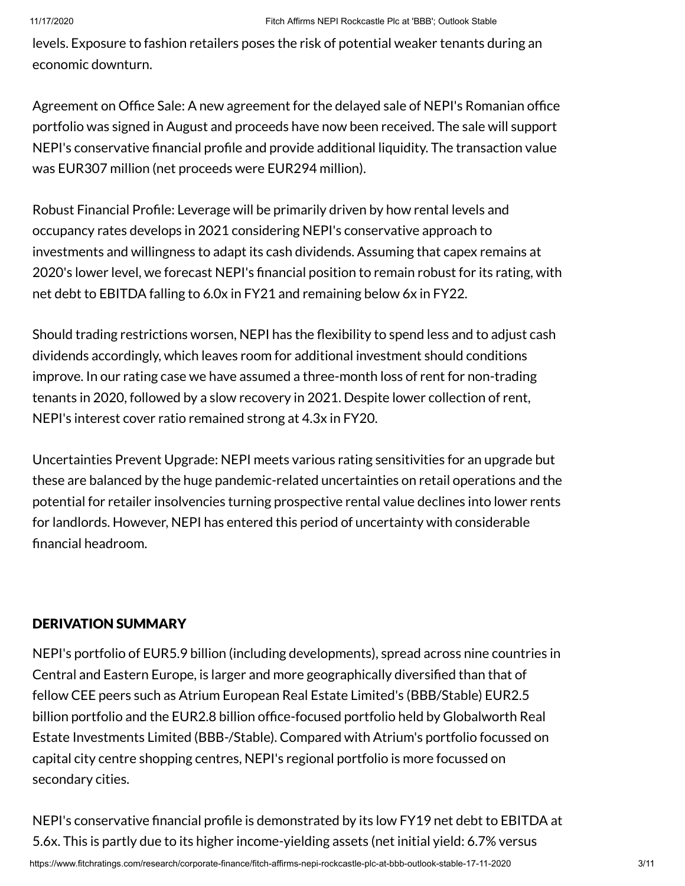levels. Exposure to fashion retailers poses the risk of potential weaker tenants during an economic downturn.

Agreement on Office Sale: A new agreement for the delayed sale of NEPI's Romanian office portfolio was signed in August and proceeds have now been received. The sale will support NEPI's conservative financial profile and provide additional liquidity. The transaction value was EUR307 million (net proceeds were EUR294 million).

Robust Financial Profile: Leverage will be primarily driven by how rental levels and occupancy rates develops in 2021 considering NEPI's conservative approach to investments and willingness to adapt its cash dividends. Assuming that capex remains at 2020's lower level, we forecast NEPI's financial position to remain robust for its rating, with net debt to EBITDA falling to 6.0x in FY21 and remaining below 6x in FY22.

Should trading restrictions worsen, NEPI has the flexibility to spend less and to adjust cash dividends accordingly, which leaves room for additional investment should conditions improve. In our rating case we have assumed a three-month loss of rent for non-trading tenants in 2020, followed by a slow recovery in 2021. Despite lower collection of rent, NEPI's interest cover ratio remained strong at 4.3x in FY20.

Uncertainties Prevent Upgrade: NEPI meets various rating sensitivities for an upgrade but these are balanced by the huge pandemic-related uncertainties on retail operations and the potential for retailer insolvencies turning prospective rental value declines into lower rents for landlords. However, NEPI has entered this period of uncertainty with considerable nancial headroom.

### DERIVATION SUMMARY

NEPI's portfolio of EUR5.9 billion (including developments), spread across nine countries in Central and Eastern Europe, is larger and more geographically diversified than that of fellow CEE peers such as Atrium European Real Estate Limited's (BBB/Stable) EUR2.5 billion portfolio and the EUR2.8 billion office-focused portfolio held by Globalworth Real Estate Investments Limited (BBB-/Stable). Compared with Atrium's portfolio focussed on capital city centre shopping centres, NEPI's regional portfolio is more focussed on secondary cities.

NEPI's conservative financial profile is demonstrated by its low FY19 net debt to EBITDA at 5.6x. This is partly due to its higher income-yielding assets (net initial yield: 6.7% versus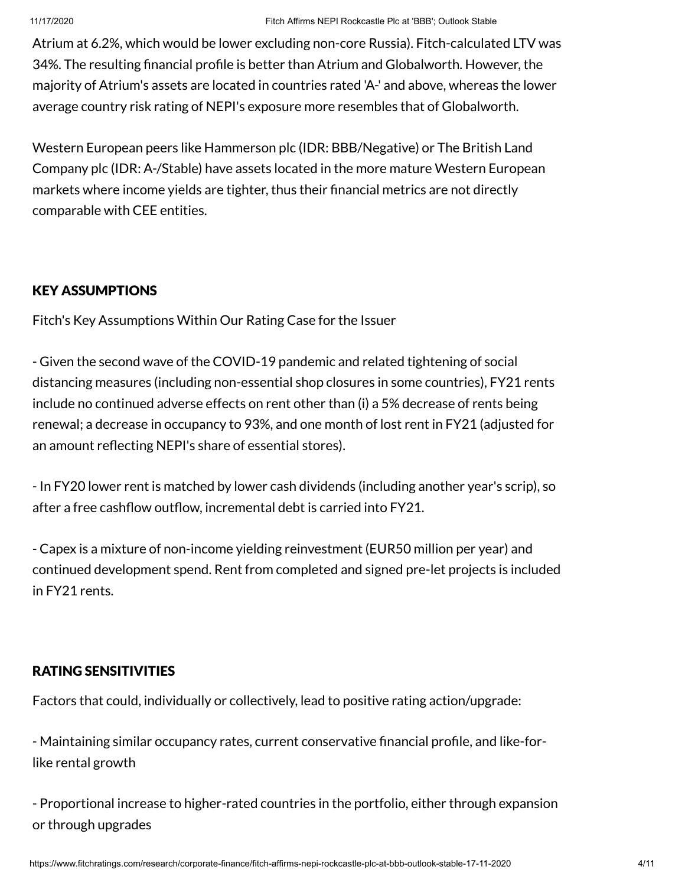Atrium at 6.2%, which would be lower excluding non-core Russia). Fitch-calculated LTV was 34%. The resulting financial profile is better than Atrium and Globalworth. However, the majority of Atrium's assets are located in countries rated 'A-' and above, whereas the lower average country risk rating of NEPI's exposure more resembles that of Globalworth.

Western European peers like Hammerson plc (IDR: BBB/Negative) or The British Land Company plc (IDR: A-/Stable) have assets located in the more mature Western European markets where income yields are tighter, thus their financial metrics are not directly comparable with CEE entities.

#### KEY ASSUMPTIONS

Fitch's Key Assumptions Within Our Rating Case for the Issuer

- Given the second wave of the COVID-19 pandemic and related tightening of social distancing measures (including non-essential shop closures in some countries), FY21 rents include no continued adverse effects on rent other than (i) a 5% decrease of rents being renewal; a decrease in occupancy to 93%, and one month of lost rent in FY21 (adjusted for an amount reflecting NEPI's share of essential stores).

- In FY20 lower rent is matched by lower cash dividends (including another year's scrip), so after a free cashflow outflow, incremental debt is carried into FY21.

- Capex is a mixture of non-income yielding reinvestment (EUR50 million per year) and continued development spend. Rent from completed and signed pre-let projects is included in FY21 rents.

#### RATING SENSITIVITIES

Factors that could, individually or collectively, lead to positive rating action/upgrade:

- Maintaining similar occupancy rates, current conservative financial profile, and like-forlike rental growth

- Proportional increase to higher-rated countries in the portfolio, either through expansion or through upgrades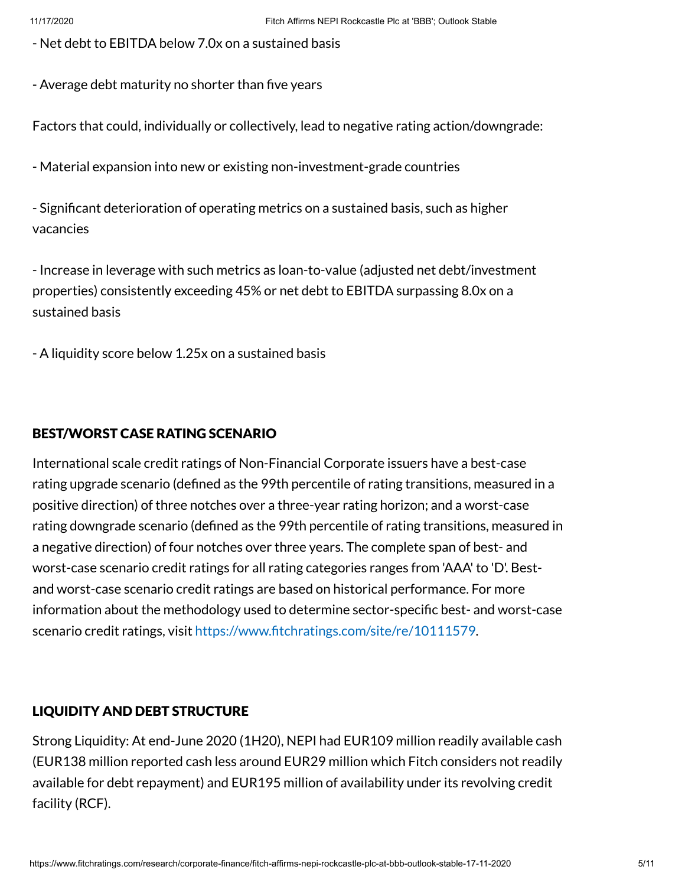- Net debt to EBITDA below 7.0x on a sustained basis

- Average debt maturity no shorter than five years

Factors that could, individually or collectively, lead to negative rating action/downgrade:

- Material expansion into new or existing non-investment-grade countries

- Significant deterioration of operating metrics on a sustained basis, such as higher vacancies

- Increase in leverage with such metrics as loan-to-value (adjusted net debt/investment properties) consistently exceeding 45% or net debt to EBITDA surpassing 8.0x on a sustained basis

- A liquidity score below 1.25x on a sustained basis

#### BEST/WORST CASE RATING SCENARIO

International scale credit ratings of Non-Financial Corporate issuers have a best-case rating upgrade scenario (defined as the 99th percentile of rating transitions, measured in a positive direction) of three notches over a three-year rating horizon; and a worst-case rating downgrade scenario (defined as the 99th percentile of rating transitions, measured in a negative direction) of four notches over three years. The complete span of best- and worst-case scenario credit ratings for all rating categories ranges from 'AAA' to 'D'. Bestand worst-case scenario credit ratings are based on historical performance. For more information about the methodology used to determine sector-specific best- and worst-case scenario credit ratings, visit https://www.fitchratings.com/site/re/10111579.

#### LIQUIDITY AND DEBT STRUCTURE

Strong Liquidity: At end-June 2020 (1H20), NEPI had EUR109 million readily available cash (EUR138 million reported cash less around EUR29 million which Fitch considers not readily available for debt repayment) and EUR195 million of availability under its revolving credit facility (RCF).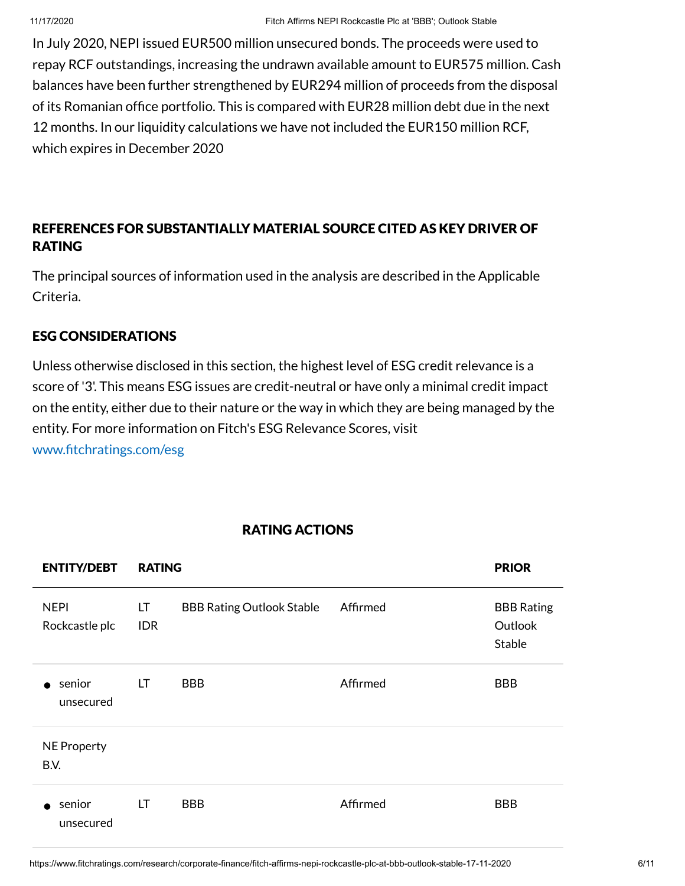In July 2020, NEPI issued EUR500 million unsecured bonds. The proceeds were used to repay RCF outstandings, increasing the undrawn available amount to EUR575 million. Cash balances have been further strengthened by EUR294 million of proceeds from the disposal of its Romanian office portfolio. This is compared with EUR28 million debt due in the next 12 months. In our liquidity calculations we have not included the EUR150 million RCF, which expires in December 2020

#### REFERENCES FOR SUBSTANTIALLY MATERIAL SOURCE CITED AS KEY DRIVER OF RATING

The principal sources of information used in the analysis are described in the Applicable Criteria.

#### ESG CONSIDERATIONS

Unless otherwise disclosed in this section, the highest level of ESG credit relevance is a score of '3'. This means ESG issues are credit-neutral or have only a minimal credit impact on the entity, either due to their nature or the way in which they are being managed by the entity. For more information on Fitch's ESG Relevance Scores, visit www.fitchratings.com/esg

#### RATING ACTIONS

| <b>ENTITY/DEBT</b>               | <b>RATING</b>    | <b>PRIOR</b>                     |          |                                        |
|----------------------------------|------------------|----------------------------------|----------|----------------------------------------|
| <b>NEPI</b><br>Rockcastle plc    | LT<br><b>IDR</b> | <b>BBB Rating Outlook Stable</b> | Affirmed | <b>BBB Rating</b><br>Outlook<br>Stable |
| senior<br>$\bullet$<br>unsecured | LT               | <b>BBB</b>                       | Affirmed | <b>BBB</b>                             |
| <b>NE Property</b><br>B.V.       |                  |                                  |          |                                        |
| senior<br>unsecured              | LT               | <b>BBB</b>                       | Affirmed | <b>BBB</b>                             |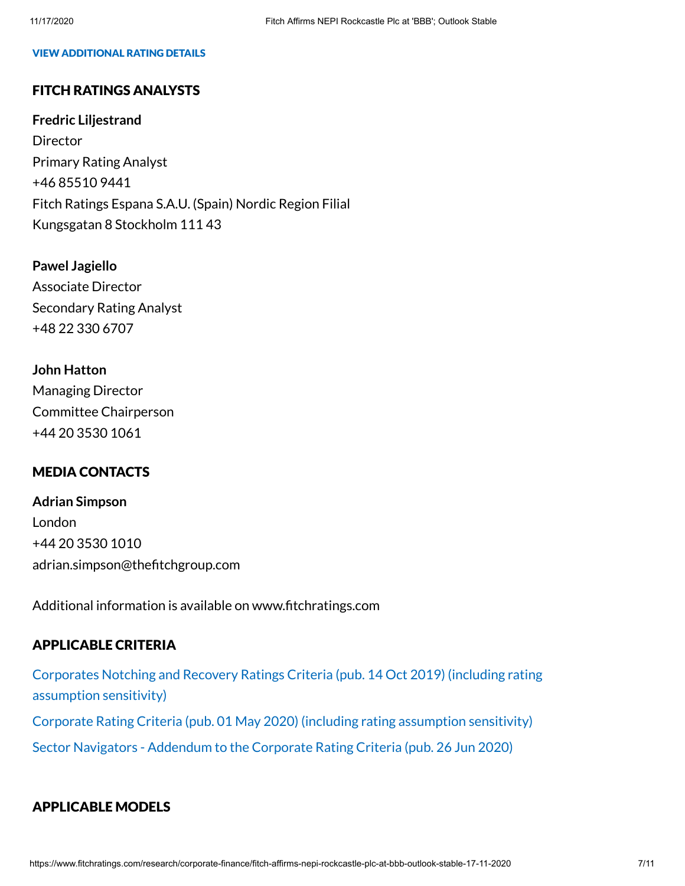#### VIEW ADDITIONAL RATING DETAILS

#### FITCH RATINGS ANALYSTS

**Fredric Liljestrand Director** Primary Rating Analyst +46 85510 9441 Fitch Ratings Espana S.A.U. (Spain) Nordic Region Filial Kungsgatan 8 Stockholm 111 43

**Pawel Jagiello** Associate Director Secondary Rating Analyst +48 22 330 6707

**John Hatton** Managing Director Committee Chairperson +44 20 3530 1061

#### MEDIA CONTACTS

**Adrian Simpson** London +44 20 3530 1010 adrian.simpson@thefitchgroup.com

Additional information is available on www.fitchratings.com

#### APPLICABLE CRITERIA

Corporates Notching and Recovery [Ratings Criteria](https://www.fitchratings.com/research/corporate-finance/corporates-notching-recovery-ratings-criteria-14-10-2019) (pub. 14 Oct 2019) (including rating assumption sensitivity)

Corporate Rating Criteria (pub. 01 May 2020) (including rating [assumption](https://www.fitchratings.com/research/corporate-finance/corporate-rating-criteria-01-05-2020) sensitivity) Sector Navigators - [Addendum](https://www.fitchratings.com/research/corporate-finance/sector-navigators-addendum-to-corporate-rating-criteria-26-06-2020) to the Corporate Rating Criteria (pub. 26 Jun 2020)

#### APPLICABLE MODELS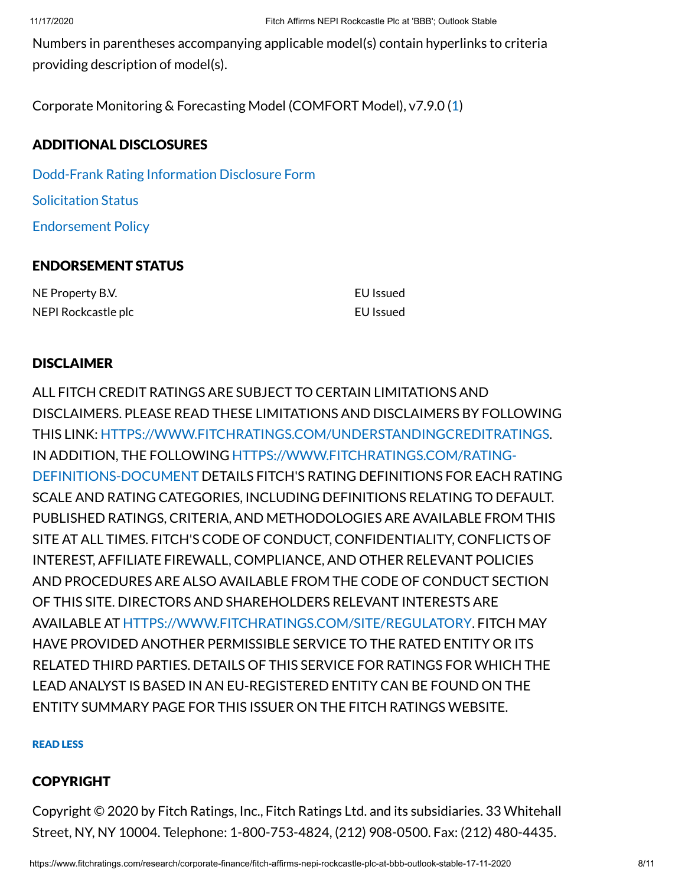Numbers in parentheses accompanying applicable model(s) contain hyperlinks to criteria providing description of model(s).

Corporate Monitoring & Forecasting Model (COMFORT Model), v7.9.0 ([1\)](https://www.fitchratings.com/site/re/973270)

#### ADDITIONAL DISCLOSURES

[Dodd-Frank](https://www.fitchratings.com/research/corporate-finance/fitch-affirms-nepi-rockcastle-plc-at-bbb-outlook-stable-17-11-2020/dodd-frank-disclosure) Rating Information Disclosure Form [Solicitation](#page-9-0) Status [Endorsement](#page-10-0) Policy

#### ENDORSEMENT STATUS

| NE Property B.V.    | EU Issued |
|---------------------|-----------|
| NEPI Rockcastle plc | EU Issued |

#### DISCLAIMER

ALL FITCH CREDIT RATINGS ARE SUBJECT TO CERTAIN LIMITATIONS AND DISCLAIMERS. PLEASE READ THESE LIMITATIONS AND DISCLAIMERS BY FOLLOWING THIS LINK: [HTTPS://WWW.FITCHRATINGS.COM/UNDERSTANDINGCREDITRATINGS](https://www.fitchratings.com/UNDERSTANDINGCREDITRATINGS). IN ADDITION, THE FOLLOWING [HTTPS://WWW.FITCHRATINGS.COM/RATING-](https://www.fitchratings.com/rating-definitions-document)DEFINITIONS-DOCUMENT DETAILS FITCH'S RATING DEFINITIONS FOR EACH RATING SCALE AND RATING CATEGORIES, INCLUDING DEFINITIONS RELATING TO DEFAULT. PUBLISHED RATINGS, CRITERIA, AND METHODOLOGIES ARE AVAILABLE FROM THIS SITE AT ALL TIMES. FITCH'S CODE OF CONDUCT, CONFIDENTIALITY, CONFLICTS OF INTEREST, AFFILIATE FIREWALL, COMPLIANCE, AND OTHER RELEVANT POLICIES AND PROCEDURES ARE ALSO AVAILABLE FROM THE CODE OF CONDUCT SECTION OF THIS SITE. DIRECTORS AND SHAREHOLDERS RELEVANT INTERESTS ARE AVAILABLE AT [HTTPS://WWW.FITCHRATINGS.COM/SITE/REGULATORY](https://www.fitchratings.com/site/regulatory). FITCH MAY HAVE PROVIDED ANOTHER PERMISSIBLE SERVICE TO THE RATED ENTITY OR ITS RELATED THIRD PARTIES. DETAILS OF THIS SERVICE FOR RATINGS FOR WHICH THE LEAD ANALYST IS BASED IN AN EU-REGISTERED ENTITY CAN BE FOUND ON THE ENTITY SUMMARY PAGE FOR THIS ISSUER ON THE FITCH RATINGS WEBSITE.

#### READ LESS

#### COPYRIGHT

Copyright © 2020 by Fitch Ratings, Inc., Fitch Ratings Ltd. and its subsidiaries. 33 Whitehall Street, NY, NY 10004. Telephone: 1-800-753-4824, (212) 908-0500. Fax: (212) 480-4435.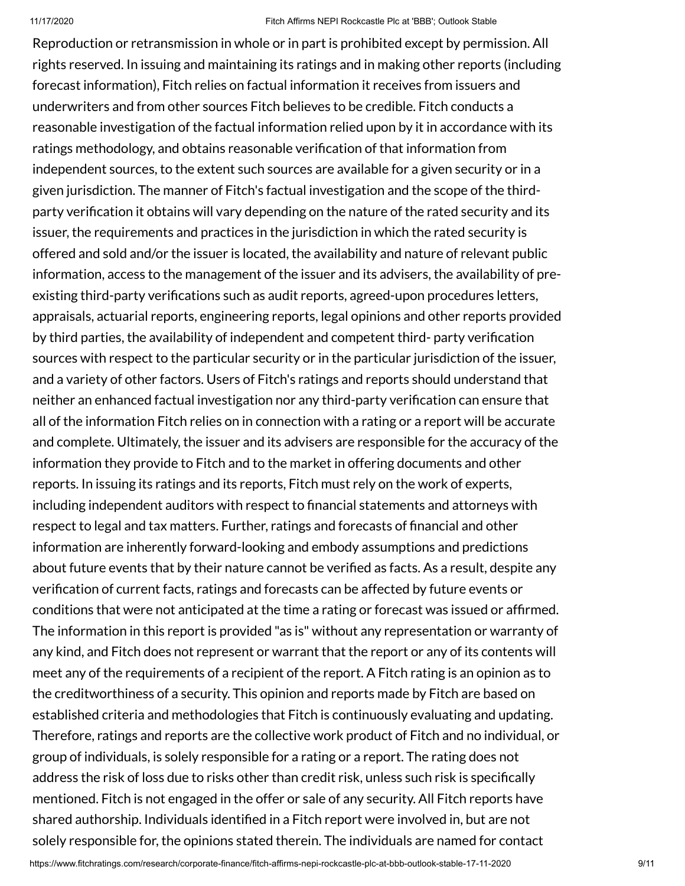Reproduction or retransmission in whole or in part is prohibited except by permission. All rights reserved. In issuing and maintaining its ratings and in making other reports (including forecast information), Fitch relies on factual information it receives from issuers and underwriters and from other sources Fitch believes to be credible. Fitch conducts a reasonable investigation of the factual information relied upon by it in accordance with its ratings methodology, and obtains reasonable verification of that information from independent sources, to the extent such sources are available for a given security or in a given jurisdiction. The manner of Fitch's factual investigation and the scope of the thirdparty verification it obtains will vary depending on the nature of the rated security and its issuer, the requirements and practices in the jurisdiction in which the rated security is offered and sold and/or the issuer is located, the availability and nature of relevant public information, access to the management of the issuer and its advisers, the availability of preexisting third-party verifications such as audit reports, agreed-upon procedures letters, appraisals, actuarial reports, engineering reports, legal opinions and other reports provided by third parties, the availability of independent and competent third- party verification sources with respect to the particular security or in the particular jurisdiction of the issuer, and a variety of other factors. Users of Fitch's ratings and reports should understand that neither an enhanced factual investigation nor any third-party verification can ensure that all of the information Fitch relies on in connection with a rating or a report will be accurate and complete. Ultimately, the issuer and its advisers are responsible for the accuracy of the information they provide to Fitch and to the market in offering documents and other reports. In issuing its ratings and its reports, Fitch must rely on the work of experts, including independent auditors with respect to financial statements and attorneys with respect to legal and tax matters. Further, ratings and forecasts of financial and other information are inherently forward-looking and embody assumptions and predictions about future events that by their nature cannot be verified as facts. As a result, despite any verification of current facts, ratings and forecasts can be affected by future events or conditions that were not anticipated at the time a rating or forecast was issued or afrmed. The information in this report is provided "as is" without any representation or warranty of any kind, and Fitch does not represent or warrant that the report or any of its contents will meet any of the requirements of a recipient of the report. A Fitch rating is an opinion as to the creditworthiness of a security. This opinion and reports made by Fitch are based on established criteria and methodologies that Fitch is continuously evaluating and updating. Therefore, ratings and reports are the collective work product of Fitch and no individual, or group of individuals, is solely responsible for a rating or a report. The rating does not address the risk of loss due to risks other than credit risk, unless such risk is specifically mentioned. Fitch is not engaged in the offer or sale of any security. All Fitch reports have shared authorship. Individuals identified in a Fitch report were involved in, but are not solely responsible for, the opinions stated therein. The individuals are named for contact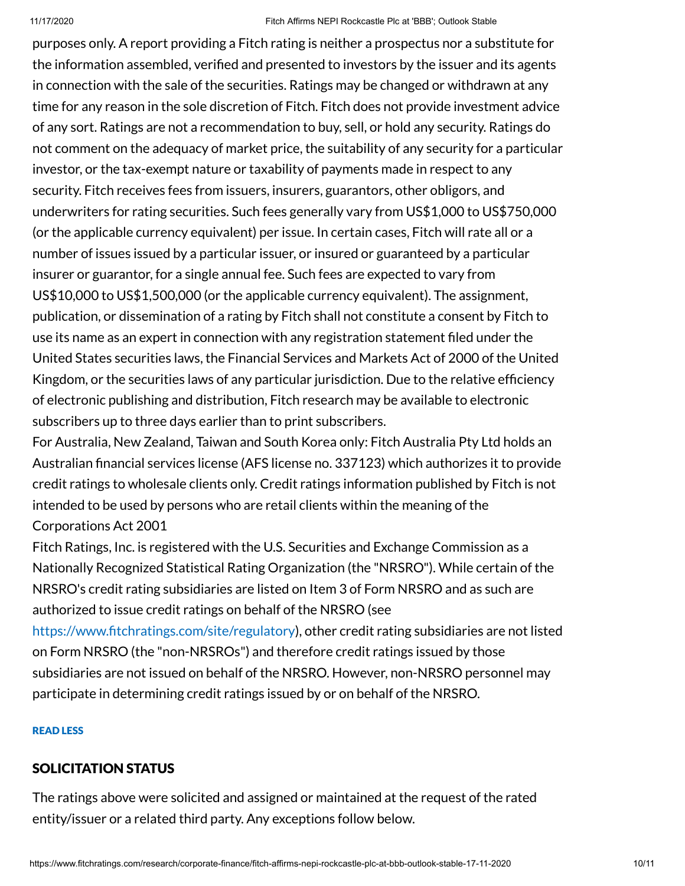purposes only. A report providing a Fitch rating is neither a prospectus nor a substitute for the information assembled, verified and presented to investors by the issuer and its agents in connection with the sale of the securities. Ratings may be changed or withdrawn at any time for any reason in the sole discretion of Fitch. Fitch does not provide investment advice of any sort. Ratings are not a recommendation to buy, sell, or hold any security. Ratings do not comment on the adequacy of market price, the suitability of any security for a particular investor, or the tax-exempt nature or taxability of payments made in respect to any security. Fitch receives fees from issuers, insurers, guarantors, other obligors, and underwriters for rating securities. Such fees generally vary from US\$1,000 to US\$750,000 (or the applicable currency equivalent) per issue. In certain cases, Fitch will rate all or a number of issues issued by a particular issuer, or insured or guaranteed by a particular insurer or guarantor, for a single annual fee. Such fees are expected to vary from US\$10,000 to US\$1,500,000 (or the applicable currency equivalent). The assignment, publication, or dissemination of a rating by Fitch shall not constitute a consent by Fitch to use its name as an expert in connection with any registration statement filed under the United States securities laws, the Financial Services and Markets Act of 2000 of the United Kingdom, or the securities laws of any particular jurisdiction. Due to the relative efficiency of electronic publishing and distribution, Fitch research may be available to electronic subscribers up to three days earlier than to print subscribers.

For Australia, New Zealand, Taiwan and South Korea only: Fitch Australia Pty Ltd holds an Australian financial services license (AFS license no. 337123) which authorizes it to provide credit ratings to wholesale clients only. Credit ratings information published by Fitch is not intended to be used by persons who are retail clients within the meaning of the Corporations Act 2001

Fitch Ratings, Inc. is registered with the U.S. Securities and Exchange Commission as a Nationally Recognized Statistical Rating Organization (the "NRSRO"). While certain of the NRSRO's credit rating subsidiaries are listed on Item 3 of Form NRSRO and as such are authorized to issue credit ratings on behalf of the NRSRO (see

https://www.fitchratings.com/site/regulatory), other credit rating subsidiaries are not listed on Form NRSRO (the "non-NRSROs") and therefore credit ratings issued by those subsidiaries are not issued on behalf of the NRSRO. However, non-NRSRO personnel may participate in determining credit ratings issued by or on behalf of the NRSRO.

#### READ LESS

#### <span id="page-9-0"></span>SOLICITATION STATUS

The ratings above were solicited and assigned or maintained at the request of the rated entity/issuer or a related third party. Any exceptions follow below.